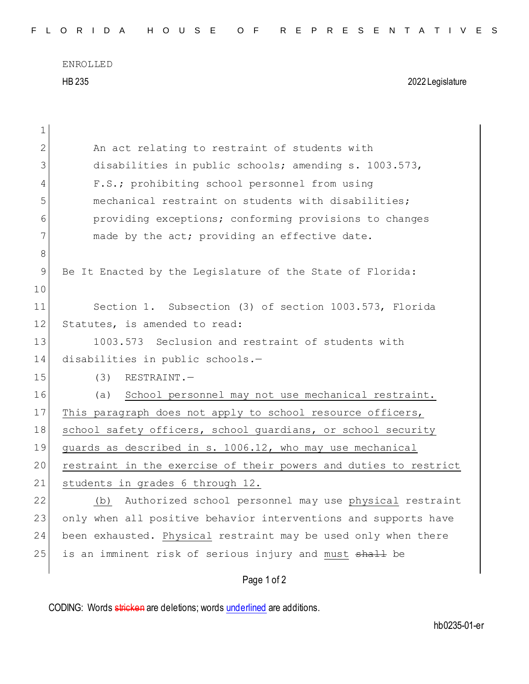ENROLLED HB 235 2022 Legislature

| 1  |                                                                    |
|----|--------------------------------------------------------------------|
| 2  | An act relating to restraint of students with                      |
| 3  | disabilities in public schools; amending s. 1003.573,              |
| 4  | F.S.; prohibiting school personnel from using                      |
| 5  | mechanical restraint on students with disabilities;                |
| 6  | providing exceptions; conforming provisions to changes             |
| 7  | made by the act; providing an effective date.                      |
| 8  |                                                                    |
| 9  | Be It Enacted by the Legislature of the State of Florida:          |
| 10 |                                                                    |
| 11 | Section 1. Subsection (3) of section 1003.573, Florida             |
| 12 | Statutes, is amended to read:                                      |
| 13 | 1003.573 Seclusion and restraint of students with                  |
| 14 | disabilities in public schools.-                                   |
| 15 | (3)<br>RESTRAINT.-                                                 |
| 16 | (a) School personnel may not use mechanical restraint.             |
| 17 | This paragraph does not apply to school resource officers,         |
| 18 | school safety officers, school guardians, or school security       |
| 19 | guards as described in s. 1006.12, who may use mechanical          |
| 20 | restraint in the exercise of their powers and duties to restrict   |
| 21 | students in grades 6 through 12.                                   |
| 22 | (b) Authorized school personnel may use physical restraint         |
| 23 | only when all positive behavior interventions and supports have    |
| 24 | been exhausted. Physical restraint may be used only when there     |
| 25 | is an imminent risk of serious injury and must <del>shall</del> be |
|    | Page 1 of 2                                                        |

CODING: Words stricken are deletions; words underlined are additions.